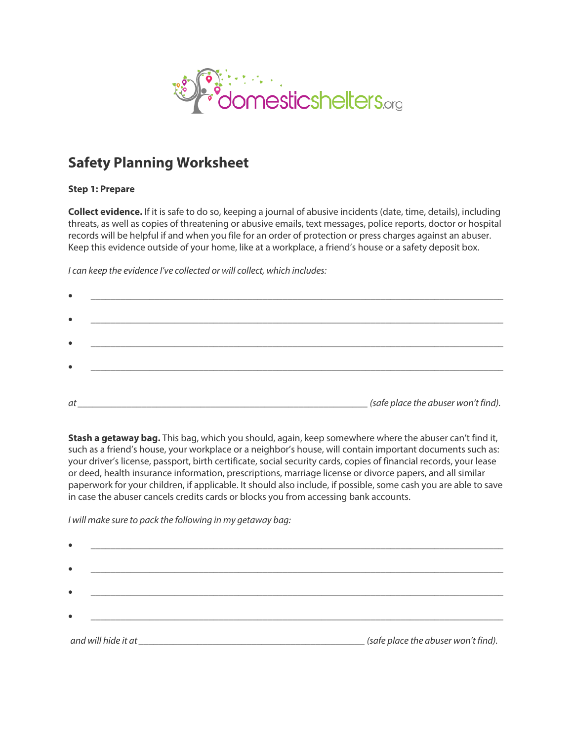

## **Safety Planning Worksheet**

## **Step 1: Prepare**

**Collect evidence.** If it is safe to do so, keeping a journal of abusive incidents (date, time, details), including threats, as well as copies of threatening or abusive emails, text messages, police reports, doctor or hospital records will be helpful if and when you file for an order of protection or press charges against an abuser. Keep this evidence outside of your home, like at a workplace, a friend's house or a safety deposit box.

*I can keep the evidence I've collected or will collect, which includes:*

| $\bullet$ |                                                                                                                                                              |
|-----------|--------------------------------------------------------------------------------------------------------------------------------------------------------------|
|           |                                                                                                                                                              |
| $\bullet$ | <u> 1980 - Antonio Alemania, presidente de la contenentación de la contenentación de la contenentación de la con</u>                                         |
|           |                                                                                                                                                              |
| $\bullet$ |                                                                                                                                                              |
|           |                                                                                                                                                              |
| at        | (safe place the abuser won't find).<br><u> 1980 - Johann Stoff, deutscher Stoff, der Stoff, der Stoff, der Stoff, der Stoff, der Stoff, der Stoff, der S</u> |

**Stash a getaway bag.** This bag, which you should, again, keep somewhere where the abuser can't find it, such as a friend's house, your workplace or a neighbor's house, will contain important documents such as: your driver's license, passport, birth certificate, social security cards, copies of financial records, your lease or deed, health insurance information, prescriptions, marriage license or divorce papers, and all similar paperwork for your children, if applicable. It should also include, if possible, some cash you are able to save in case the abuser cancels credits cards or blocks you from accessing bank accounts.

*I will make sure to pack the following in my getaway bag:*

| $\bullet$ |                                                                                                                |                                     |
|-----------|----------------------------------------------------------------------------------------------------------------|-------------------------------------|
| $\bullet$ |                                                                                                                |                                     |
| $\bullet$ |                                                                                                                |                                     |
| $\bullet$ |                                                                                                                |                                     |
|           | and will hide it at a state of the state of the state of the state of the state of the state of the state of t | (safe place the abuser won't find). |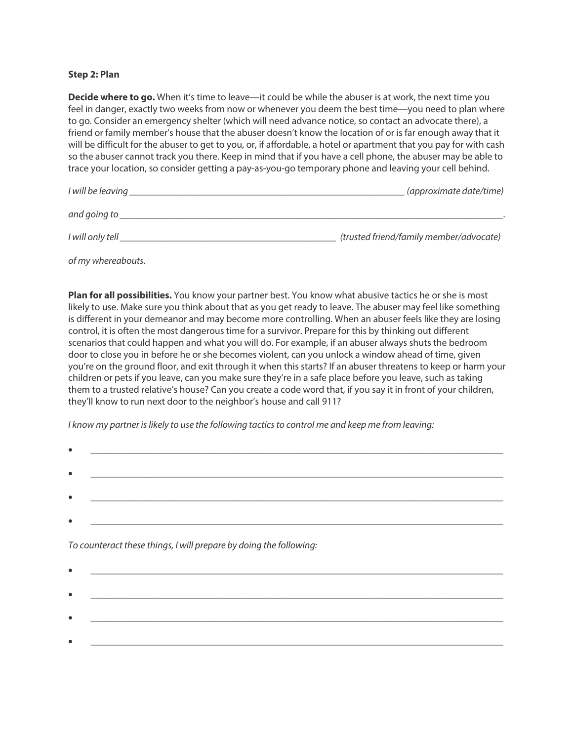## **Step 2: Plan**

**Decide where to go.** When it's time to leave—it could be while the abuser is at work, the next time you feel in danger, exactly two weeks from now or whenever you deem the best time—you need to plan where to go. Consider an emergency shelter (which will need advance notice, so contact an advocate there), a friend or family member's house that the abuser doesn't know the location of or is far enough away that it will be difficult for the abuser to get to you, or, if affordable, a hotel or apartment that you pay for with cash so the abuser cannot track you there. Keep in mind that if you have a cell phone, the abuser may be able to trace your location, so consider getting a pay-as-you-go temporary phone and leaving your cell behind.

| I will be leaving | (approximate date/time)                 |
|-------------------|-----------------------------------------|
| and going to      |                                         |
| I will only tell  | (trusted friend/family member/advocate) |

*of my whereabouts.*

**Plan for all possibilities.** You know your partner best. You know what abusive tactics he or she is most likely to use. Make sure you think about that as you get ready to leave. The abuser may feel like something is different in your demeanor and may become more controlling. When an abuser feels like they are losing control, it is often the most dangerous time for a survivor. Prepare for this by thinking out different scenarios that could happen and what you will do. For example, if an abuser always shuts the bedroom door to close you in before he or she becomes violent, can you unlock a window ahead of time, given you're on the ground floor, and exit through it when this starts? If an abuser threatens to keep or harm your children or pets if you leave, can you make sure they're in a safe place before you leave, such as taking them to a trusted relative's house? Can you create a code word that, if you say it in front of your children, they'll know to run next door to the neighbor's house and call 911?

*I know my partner is likely to use the following tactics to control me and keep me from leaving:*

*To counteract these things, I will prepare by doing the following:*

| 4 |  |
|---|--|
|   |  |
|   |  |
|   |  |